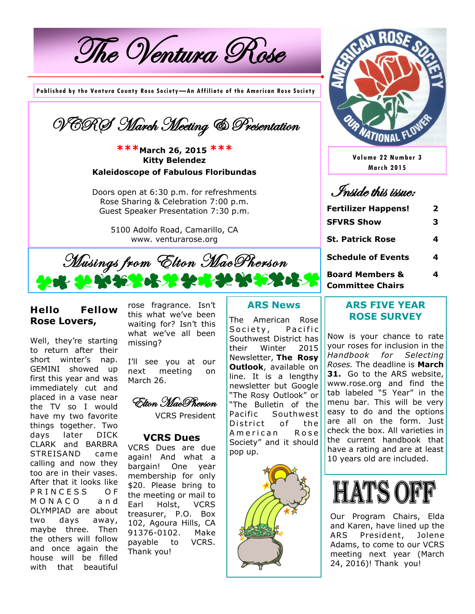The Ventura Rose

**Published by the Ventura County Rose Society—An Affiliate of the American Rose Society**



**\*\*\*March 26, 2015 \*\*\* Kitty Belendez Kaleidoscope of Fabulous Floribundas**

Doors open at 6:30 p.m. for refreshments Rose Sharing & Celebration 7:00 p.m. Guest Speaker Presentation 7:30 p.m.

> 5100 Adolfo Road, Camarillo, CA www. venturarose.org



### **Hello Fellow Rose Lovers,**

Well, they're starting to return after their short winter's nap. GEMINI showed up first this year and was immediately cut and placed in a vase near the TV so I would have my two favorite things together. Two days later DICK CLARK and BARBRA STREISAND came calling and now they too are in their vases. After that it looks like PRINCESS OF M O N A C O a n d OLYMPIAD are about two days away, maybe three. Then the others will follow and once again the house will be filled with that beautiful

rose fragrance. Isn't this what we've been waiting for? Isn't this what we've all been missing?

I'll see you at our next meeting on March 26.

Elton MacPherson

VCRS President

#### **VCRS Dues**

VCRS Dues are due again! And what a bargain! One year membership for only \$20. Please bring to the meeting or mail to Earl Holst, VCRS treasurer, P.O. Box 102, Agoura Hills, CA 91376-0102. Make payable to VCRS. Thank you!

## **ARS News**

The American Rose Society, Pacific Southwest District has their Winter 2015 Newsletter, **The Rosy Outlook**, available on line. It is a lengthy newsletter but Google "The Rosy Outlook" or "The Bulletin of the Pacific Southwest District of the A merican Rose Society" and it should pop up.





**Volume 22 Number 3 March 2015**

Inside this issue:

| <b>Fertilizer Happens!</b>                                                | 2           |                            |   |
|---------------------------------------------------------------------------|-------------|----------------------------|---|
| <b>SFVRS Show</b><br><b>St. Patrick Rose</b><br><b>Schedule of Events</b> | 3<br>4<br>4 |                            |   |
|                                                                           |             | <b>Board Members &amp;</b> | 4 |
|                                                                           |             | <b>Committee Chairs</b>    |   |

#### **ARS FIVE YEAR ROSE SURVEY**

Now is your chance to rate your roses for inclusion in the *Handbook for Selecting Roses.* The deadline is **March 31.** Go to the ARS website, www.rose.org and find the tab labeled "5 Year" in the menu bar. This will be very easy to do and the options are all on the form. Just check the box. All varieties in the current handbook that have a rating and are at least 10 years old are included.



Our Program Chairs, Elda and Karen, have lined up the ARS President, Jolene Adams, to come to our VCRS meeting next year (March 24, 2016)! Thank you!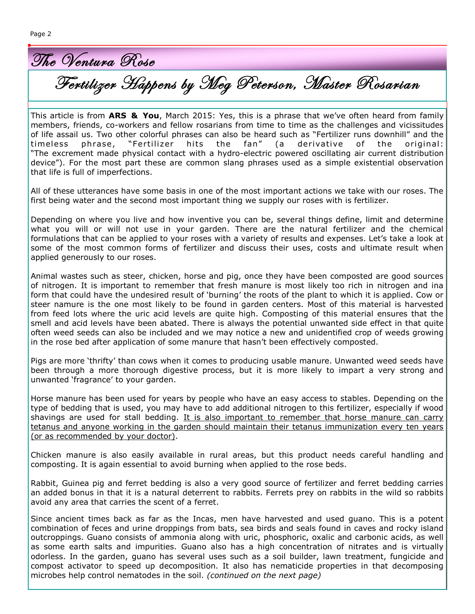The Ventura Rose

Fertilizer Happens by Meg Peterson, Master Rosarian

 $\overline{\phantom{a}}$  This article is from **ARS & You**, March 2015: Yes, this is a phrase that we've often heard from family members, friends, co-workers and fellow rosarians from time to time as the challenges and vicissitudes of life assail us. Two other colorful phrases can also be heard such as "Fertilizer runs downhill" and the timeless phrase, "Fertilizer hits the fan" (a derivative of the original: "The excrement made physical contact with a hydro-electric powered oscillating air current distribution device"). For the most part these are common slang phrases used as a simple existential observation that life is full of imperfections.

All of these utterances have some basis in one of the most important actions we take with our roses. The first being water and the second most important thing we supply our roses with is fertilizer.

Depending on where you live and how inventive you can be, several things define, limit and determine what you will or will not use in your garden. There are the natural fertilizer and the chemical formulations that can be applied to your roses with a variety of results and expenses. Let's take a look at some of the most common forms of fertilizer and discuss their uses, costs and ultimate result when applied generously to our roses.

Animal wastes such as steer, chicken, horse and pig, once they have been composted are good sources of nitrogen. It is important to remember that fresh manure is most likely too rich in nitrogen and ina form that could have the undesired result of 'burning' the roots of the plant to which it is applied. Cow or steer namure is the one most likely to be found in garden centers. Most of this material is harvested from feed lots where the uric acid levels are quite high. Composting of this material ensures that the smell and acid levels have been abated. There is always the potential unwanted side effect in that quite often weed seeds can also be included and we may notice a new and unidentified crop of weeds growing in the rose bed after application of some manure that hasn't been effectively composted.

Pigs are more 'thrifty' than cows when it comes to producing usable manure. Unwanted weed seeds have been through a more thorough digestive process, but it is more likely to impart a very strong and unwanted 'fragrance' to your garden.

Horse manure has been used for years by people who have an easy access to stables. Depending on the type of bedding that is used, you may have to add additional nitrogen to this fertilizer, especially if wood shavings are used for stall bedding. It is also important to remember that horse manure can carry tetanus and anyone working in the garden should maintain their tetanus immunization every ten years (or as recommended by your doctor).

Chicken manure is also easily available in rural areas, but this product needs careful handling and composting. It is again essential to avoid burning when applied to the rose beds.

Rabbit, Guinea pig and ferret bedding is also a very good source of fertilizer and ferret bedding carries an added bonus in that it is a natural deterrent to rabbits. Ferrets prey on rabbits in the wild so rabbits avoid any area that carries the scent of a ferret.

Since ancient times back as far as the Incas, men have harvested and used guano. This is a potent combination of feces and urine droppings from bats, sea birds and seals found in caves and rocky island outcroppings. Guano consists of ammonia along with uric, phosphoric, oxalic and carbonic acids, as well as some earth salts and impurities. Guano also has a high concentration of nitrates and is virtually odorless. In the garden, guano has several uses such as a soil builder, lawn treatment, fungicide and compost activator to speed up decomposition. It also has nematicide properties in that decomposing microbes help control nematodes in the soil. *(continued on the next page)*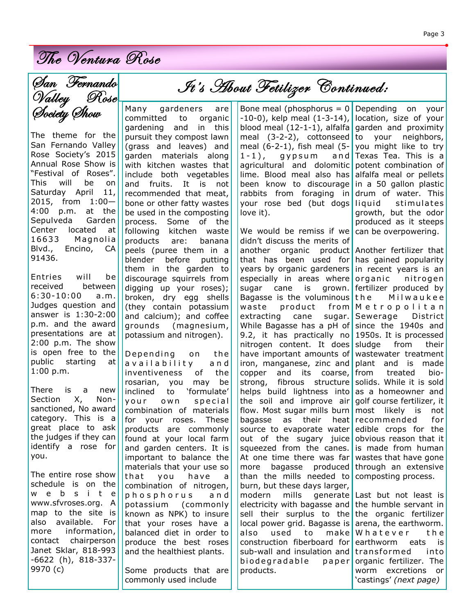The Ventura Rose

The theme for the San Fernando Valley Rose Society's 2015 Annual Rose Show is "Festival of Roses". This will be on Saturday April 11, 2015, from 1:00— 4:00 p.m. at the Sepulveda Garden Center located at 16633 Magnolia Blvd., Encino, CA 91436.

Entries will be received between 6:30-10:00 a.m. Judges question and answer is 1:30-2:00 p.m. and the award presentations are at 2:00 p.m. The show is open free to the public starting at 1:00 p.m.

There is a new Section X, Nonsanctioned, No award category. This is a great place to ask the judges if they can identify a rose for you.

The entire rose show schedule is on the w e b s i t e www.sfvroses.org. A map to the site is also available. For more information, contact chairperson Janet Sklar, 818-993 -6622 (h), 818-337- 9970 (c)

Many gardeners are committed to organic gardening and in this pursuit they compost lawn (grass and leaves) and garden materials along with kitchen wastes that include both vegetables and fruits. It is not recommended that meat, bone or other fatty wastes be used in the composting process. Some of the following kitchen waste products are: banana peels (puree them in a blender before putting them in the garden to discourage squirrels from digging up your roses); broken, dry egg shells (they contain potassium and calcium); and coffee grounds (magnesium, potassium and nitrogen).

Depending on the a v a i l a b i lity and inventiveness of the rosarian, you may be inclined to 'formulate' your own special combination of materials for your roses. These products are commonly found at your local farm and garden centers. It is important to balance the materials that your use so that you have a combination of nitrogen, p h o s p h o r u s a n d potassium (commonly known as NPK) to insure that your roses have a balanced diet in order to produce the best roses and the healthiest plants.

Some products that are commonly used include

# It's About Fetilizer Continued:

Bone meal (phosphorus  $= 0$ -10-0), kelp meal (1-3-14), blood meal (12-1-1), alfalfa meal (3-2-2), cottonseed meal (6-2-1), fish meal (5-  $1 - 1$ , gypsum and agricultural and dolomitic lime. Blood meal also has been know to discourage rabbits from foraging in your rose bed (but dogs love it).

We would be remiss if we didn't discuss the merits of another organic product Another fertilizer that that has been used for years by organic gardeners especially in areas where sugar cane is grown. Bagasse is the voluminous waste product from extracting cane sugar. While Bagasse has a pH of since the 1940s and 9.2, it has practically no nitrogen content. It does have important amounts of iron, manganese, zinc and copper and its coarse, strong, fibrous structure helps build lightness into the soil and improve air flow. Most sugar mills burn bagasse as their heat source to evaporate water out of the sugary juice squeezed from the canes. At one time there was far more bagasse produced than the mills needed to burn, but these days larger, modern mills generate electricity with bagasse and sell their surplus to the local power grid. Bagasse is also used to make construction fiberboard for sub-wall and insulation and biodegradable paper products.

Depending on your location, size of your garden and proximity to your neighbors, you might like to try Texas Tea. This is a potent combination of alfalfa meal or pellets in a 50 gallon plastic drum of water. This liquid stimulates growth, but the odor produced as it steeps can be overpowering.

has gained popularity in recent years is an organic nitrogen fertilizer produced by the Milwaukee M e t r o p o l i t a n Sewerage District 1950s. It is processed sludge from their wastewater treatment plant and is made from treated biosolids. While it is sold as a homeowner and golf course fertilizer, it most likely is not recommended for edible crops for the obvious reason that it is made from human wastes that have gone through an extensive composting process.

Last but not least is the humble servant in the organic fertilizer arena, the earthworm. W hat e ver the earthworm eats is t ran s form ed in to organic fertilizer. The worm excretions or 'castings' *(next page)*